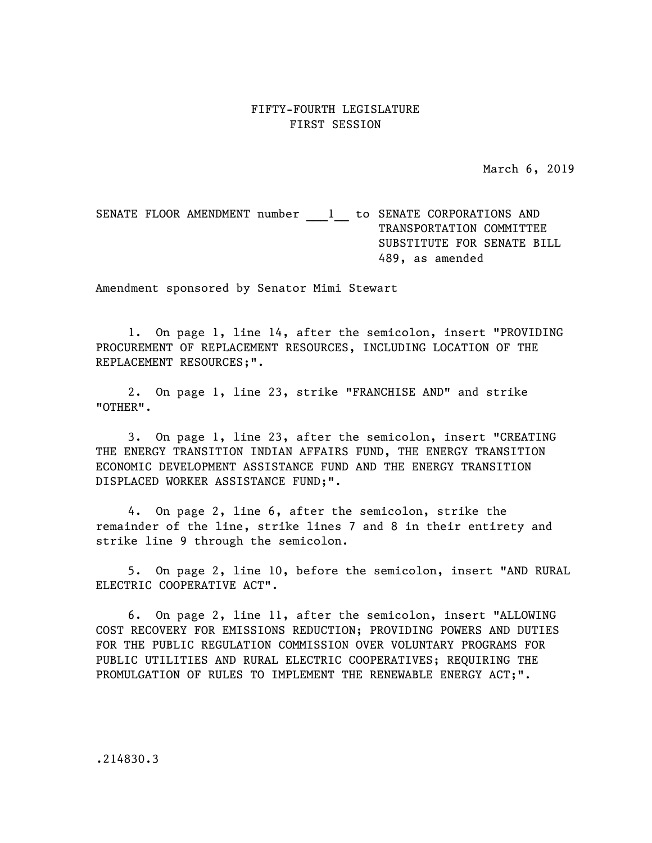## FIFTY-FOURTH LEGISLATURE FIRST SESSION

March 6, 2019

SENATE FLOOR AMENDMENT number 1 to SENATE CORPORATIONS AND TRANSPORTATION COMMITTEE SUBSTITUTE FOR SENATE BILL 489, as amended

Amendment sponsored by Senator Mimi Stewart

1. On page 1, line 14, after the semicolon, insert "PROVIDING PROCUREMENT OF REPLACEMENT RESOURCES, INCLUDING LOCATION OF THE REPLACEMENT RESOURCES;".

2. On page 1, line 23, strike "FRANCHISE AND" and strike "OTHER".

3. On page 1, line 23, after the semicolon, insert "CREATING THE ENERGY TRANSITION INDIAN AFFAIRS FUND, THE ENERGY TRANSITION ECONOMIC DEVELOPMENT ASSISTANCE FUND AND THE ENERGY TRANSITION DISPLACED WORKER ASSISTANCE FUND;".

4. On page 2, line 6, after the semicolon, strike the remainder of the line, strike lines 7 and 8 in their entirety and strike line 9 through the semicolon.

5. On page 2, line 10, before the semicolon, insert "AND RURAL ELECTRIC COOPERATIVE ACT".

6. On page 2, line 11, after the semicolon, insert "ALLOWING COST RECOVERY FOR EMISSIONS REDUCTION; PROVIDING POWERS AND DUTIES FOR THE PUBLIC REGULATION COMMISSION OVER VOLUNTARY PROGRAMS FOR PUBLIC UTILITIES AND RURAL ELECTRIC COOPERATIVES; REQUIRING THE PROMULGATION OF RULES TO IMPLEMENT THE RENEWABLE ENERGY ACT;".

.214830.3